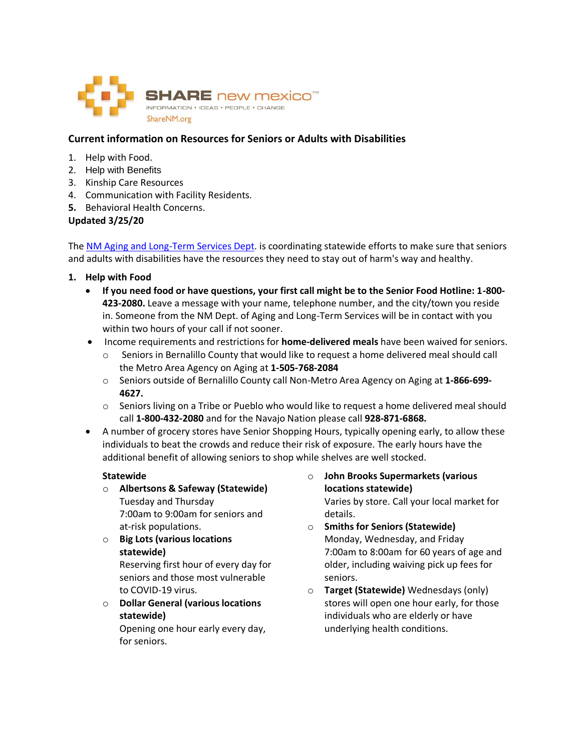

## **Current information on Resources for Seniors or Adults with Disabilities**

- 1. Help with Food.
- 2. Help with Benefits
- 3. Kinship Care Resources
- 4. Communication with Facility Residents.
- **5.** Behavioral Health Concerns.

## **Updated 3/25/20**

The [NM Aging and Long-Term Services Dept.](http://www.nmaging.state.nm.us/) is coordinating statewide efforts to make sure that seniors and adults with disabilities have the resources they need to stay out of harm's way and healthy.

- **1. Help with Food**
	- **If you need food or have questions, your first call might be to the Senior Food Hotline: 1-800- 423-2080.** Leave a message with your name, telephone number, and the city/town you reside in. Someone from the NM Dept. of Aging and Long-Term Services will be in contact with you within two hours of your call if not sooner.
	- Income requirements and restrictions for **home-delivered meals** have been waived for seniors.
		- o Seniors in Bernalillo County that would like to request a home delivered meal should call the Metro Area Agency on Aging at **1-505-768-2084**
		- o Seniors outside of Bernalillo County call Non-Metro Area Agency on Aging at **1-866-699- 4627.**
		- o Seniors living on a Tribe or Pueblo who would like to request a home delivered meal should call **1-800-432-2080** and for the Navajo Nation please call **928-871-6868.**
	- A number of grocery stores have Senior Shopping Hours, typically opening early, to allow these individuals to beat the crowds and reduce their risk of exposure. The early hours have the additional benefit of allowing seniors to shop while shelves are well stocked.

## **Statewide**

- o **Albertsons & Safeway (Statewide)** Tuesday and Thursday 7:00am to 9:00am for seniors and at-risk populations.
- o **Big Lots (various locations statewide)**

Reserving first hour of every day for seniors and those most vulnerable to COVID-19 virus.

o **Dollar General (various locations statewide)**

Opening one hour early every day, for seniors.

- o **John Brooks Supermarkets (various locations statewide)** Varies by store. Call your local market for details.
- o **Smiths for Seniors (Statewide)**  Monday, Wednesday, and Friday 7:00am to 8:00am for 60 years of age and older, including waiving pick up fees for seniors.
- o **Target (Statewide)** Wednesdays (only) stores will open one hour early, for those individuals who are elderly or have underlying health conditions.